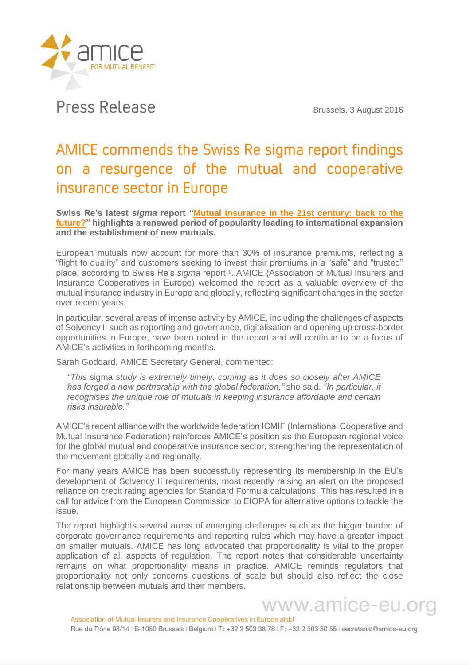

## Press Release Brussels, 3 August 2016

## AMICE commends the Swiss Re sigma report findings on a resurgence of the mutual and cooperative insurance sector in Europe

**Swiss Re's latest** *sigma* **report ["Mutual insurance in the 21st century: back to the](http://media.swissre.com/documents/sigma4_2016_en.pdf)  [future?"](http://media.swissre.com/documents/sigma4_2016_en.pdf) highlights a renewed period of popularity leading to international expansion and the establishment of new mutuals.**

European mutuals now account for more than 30% of insurance premiums, reflecting a "flight to quality" and customers seeking to invest their premiums in a "safe" and "trusted" place, according to Swiss Re's *sigma* report <sup>1</sup>. AMICE (Association of Mutual Insurers and Insurance Cooperatives in Europe) welcomed the report as a valuable overview of the mutual insurance industry in Europe and globally, reflecting significant changes in the sector over recent years.

In particular, several areas of intense activity by AMICE, including the challenges of aspects of Solvency II such as reporting and governance, digitalisation and opening up cross-border opportunities in Europe, have been noted in the report and will continue to be a focus of AMICE's activities in forthcoming months.

Sarah Goddard, AMICE Secretary General, commented:

*"This* sigma *study is extremely timely, coming as it does so closely after AMICE has forged a new partnership with the global federation,"* she said. *"In particular, it recognises the unique role of mutuals in keeping insurance affordable and certain risks insurable."*

AMICE's recent alliance with the worldwide federation ICMIF (International Cooperative and Mutual Insurance Federation) reinforces AMICE's position as the European regional voice for the global mutual and cooperative insurance sector, strengthening the representation of the movement globally and regionally.

For many years AMICE has been successfully representing its membership in the EU's development of Solvency II requirements, most recently raising an alert on the proposed reliance on credit rating agencies for Standard Formula calculations. This has resulted in a call for advice from the European Commission to EIOPA for alternative options to tackle the issue.

The report highlights several areas of emerging challenges such as the bigger burden of corporate governance requirements and reporting rules which may have a greater impact on smaller mutuals. AMICE has long advocated that proportionality is vital to the proper application of all aspects of regulation. The report notes that considerable uncertainty remains on what proportionality means in practice. AMICE reminds regulators that proportionality not only concerns questions of scale but should also reflect the close relationship between mutuals and their members.